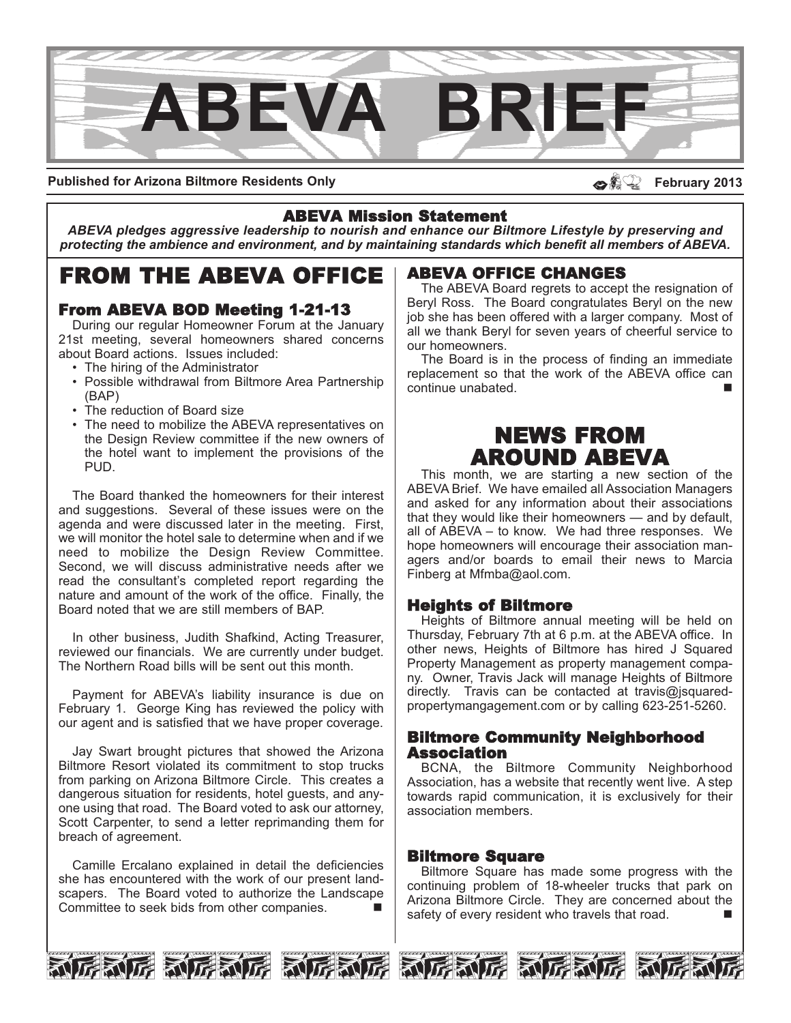

**Published for Arizona Biltmore Residents Only**

#### dsa **February 2013**

### ABEVA Mission Statement

*ABEVA pledges aggressive leadership to nourish and enhance our Biltmore Lifestyle by preserving and protecting the ambience and environment, and by maintaining standards which benefit all members of ABEVA.*

# FROM THE ABEVA OFFICE

# From ABEVA BOD Meeting 1-21-13

During our regular Homeowner Forum at the January 21st meeting, several homeowners shared concerns about Board actions. Issues included:

- The hiring of the Administrator
- Possible withdrawal from Biltmore Area Partnership (BAP)
- The reduction of Board size
- The need to mobilize the ABEVA representatives on the Design Review committee if the new owners of the hotel want to implement the provisions of the PUD.

The Board thanked the homeowners for their interest and suggestions. Several of these issues were on the agenda and were discussed later in the meeting. First, we will monitor the hotel sale to determine when and if we need to mobilize the Design Review Committee. Second, we will discuss administrative needs after we read the consultant's completed report regarding the nature and amount of the work of the office. Finally, the Board noted that we are still members of BAP.

In other business, Judith Shafkind, Acting Treasurer, reviewed our financials. We are currently under budget. The Northern Road bills will be sent out this month.

Payment for ABEVA's liability insurance is due on February 1. George King has reviewed the policy with our agent and is satisfied that we have proper coverage.

Jay Swart brought pictures that showed the Arizona Biltmore Resort violated its commitment to stop trucks from parking on Arizona Biltmore Circle. This creates a dangerous situation for residents, hotel guests, and anyone using that road. The Board voted to ask our attorney, Scott Carpenter, to send a letter reprimanding them for breach of agreement.

Camille Ercalano explained in detail the deficiencies she has encountered with the work of our present landscapers. The Board voted to authorize the Landscape Committee to seek bids from other companies.

### ABEVA OFFICE CHANGES

The ABEVA Board regrets to accept the resignation of Beryl Ross. The Board congratulates Beryl on the new job she has been offered with a larger company. Most of all we thank Beryl for seven years of cheerful service to our homeowners.

The Board is in the process of finding an immediate replacement so that the work of the ABEVA office can continue unabated.

# NEWS FROM AROUND ABEVA

This month, we are starting a new section of the ABEVA Brief. We have emailed all Association Managers and asked for any information about their associations that they would like their homeowners — and by default, all of ABEVA – to know. We had three responses. We hope homeowners will encourage their association managers and/or boards to email their news to Marcia Finberg at Mfmba@aol.com.

#### Heights of Biltmore

Heights of Biltmore annual meeting will be held on Thursday, February 7th at 6 p.m. at the ABEVA office. In other news, Heights of Biltmore has hired J Squared Property Management as property management company. Owner, Travis Jack will manage Heights of Biltmore directly. Travis can be contacted at travis@jsquaredpropertymangagement.com or by calling 623-251-5260.

#### Biltmore Community Neighborhood **Association**

BCNA, the Biltmore Community Neighborhood Association, has a website that recently went live. A step towards rapid communication, it is exclusively for their association members.

#### Biltmore Square

Biltmore Square has made some progress with the continuing problem of 18-wheeler trucks that park on Arizona Biltmore Circle. They are concerned about the safety of every resident who travels that road.





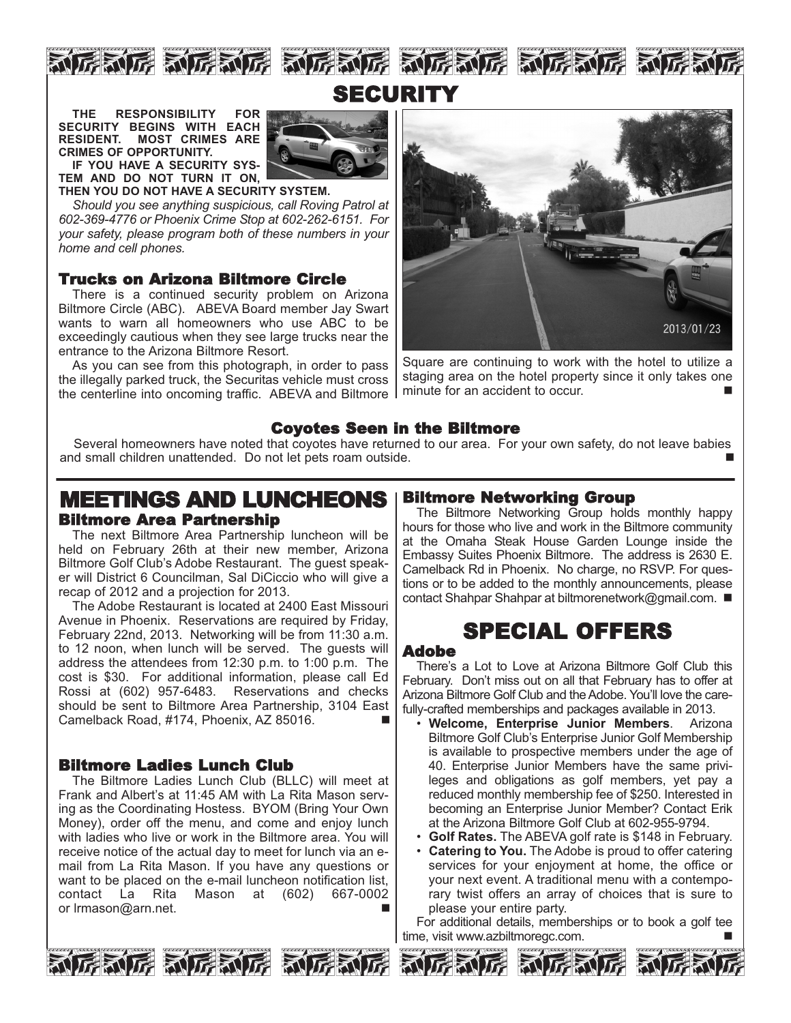



**THE RESPONSIBILITY FOR SECURITY BEGINS WITH EACH RESIDENT. MOST CRIMES ARE CRIMES OF OPPORTUNITY. IF YOU HAVE A SECURITY SYS-**

**TEM AND DO NOT TURN IT ON, THEN YOU DO NOT HAVE A SECURITY SYSTEM.**

*Should you see anything suspicious, call Roving Patrol at 602-369-4776 or Phoenix Crime Stop at 602-262-6151. For your safety, please program both of these numbers in your home and cell phones.* 

## Trucks on Arizona Biltmore Circle

There is a continued security problem on Arizona Biltmore Circle (ABC). ABEVA Board member Jay Swart wants to warn all homeowners who use ABC to be exceedingly cautious when they see large trucks near the entrance to the Arizona Biltmore Resort.

As you can see from this photograph, in order to pass the illegally parked truck, the Securitas vehicle must cross the centerline into oncoming traffic. ABEVA and Biltmore



Square are continuing to work with the hotel to utilize a staging area on the hotel property since it only takes one minute for an accident to occur.

### Coyotes Seen in the Biltmore

Several homeowners have noted that coyotes have returned to our area. For your own safety, do not leave babies and small children unattended. Do not let pets roam outside.

# MEETINGS AND LUNCHEONS Biltmore Area Partnership

The next Biltmore Area Partnership luncheon will be held on February 26th at their new member, Arizona Biltmore Golf Club's Adobe Restaurant. The guest speaker will District 6 Councilman, Sal DiCiccio who will give a recap of 2012 and a projection for 2013.

The Adobe Restaurant is located at 2400 East Missouri Avenue in Phoenix. Reservations are required by Friday, February 22nd, 2013. Networking will be from 11:30 a.m. to 12 noon, when lunch will be served. The guests will address the attendees from 12:30 p.m. to 1:00 p.m. The cost is \$30. For additional information, please call Ed Rossi at (602) 957-6483. Reservations and checks should be sent to Biltmore Area Partnership, 3104 East Camelback Road, #174, Phoenix, AZ 85016.

#### Biltmore Ladies Lunch Club

The Biltmore Ladies Lunch Club (BLLC) will meet at Frank and Albert's at 11:45 AM with La Rita Mason serving as the Coordinating Hostess. BYOM (Bring Your Own Money), order off the menu, and come and enjoy lunch with ladies who live or work in the Biltmore area. You will receive notice of the actual day to meet for lunch via an email from La Rita Mason. If you have any questions or want to be placed on the e-mail luncheon notification list,<br>contact La Rita Mason at (602) 667-0002 Mason at (602) 667-0002 or Irmason@arn.net.



### Biltmore Networking Group

The Biltmore Networking Group holds monthly happy hours for those who live and work in the Biltmore community at the Omaha Steak House Garden Lounge inside the Embassy Suites Phoenix Biltmore. The address is 2630 E. Camelback Rd in Phoenix. No charge, no RSVP. For questions or to be added to the monthly announcements, please contact Shahpar Shahpar at biltmorenetwork@gmail.com. ■

# SPECIAL OFFERS

#### Adobe

There's a Lot to Love at Arizona Biltmore Golf Club this February. Don't miss out on all that February has to offer at Arizona Biltmore Golf Club and the Adobe. You'll love the carefully-crafted memberships and packages available in 2013.

- **Welcome, Enterprise Junior Members**. Arizona Biltmore Golf Club's Enterprise Junior Golf Membership is available to prospective members under the age of 40. Enterprise Junior Members have the same privileges and obligations as golf members, yet pay a reduced monthly membership fee of \$250. Interested in becoming an Enterprise Junior Member? Contact Erik at the Arizona Biltmore Golf Club at 602-955-9794.
- **Golf Rates.** The ABEVA golf rate is \$148 in February.
- **Catering to You.** The Adobe is proud to offer catering services for your enjoyment at home, the office or your next event. A traditional menu with a contemporary twist offers an array of choices that is sure to please your entire party.

For additional details, memberships or to book a golf tee time, visit www.azbiltmoregc.com.





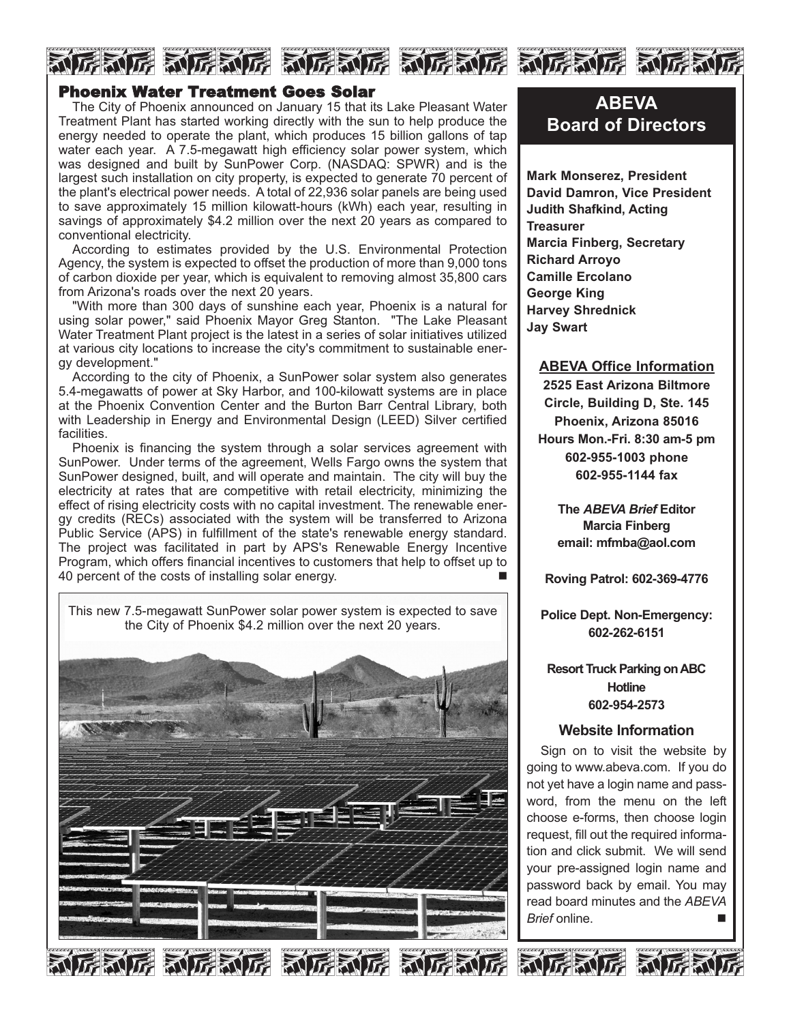## Phoenix Water Treatment Goes Solar

The City of Phoenix announced on January 15 that its Lake Pleasant Water Treatment Plant has started working directly with the sun to help produce the energy needed to operate the plant, which produces 15 billion gallons of tap water each year. A 7.5-megawatt high efficiency solar power system, which was designed and built by SunPower Corp. (NASDAQ: SPWR) and is the largest such installation on city property, is expected to generate 70 percent of the plant's electrical power needs. A total of 22,936 solar panels are being used to save approximately 15 million kilowatt-hours (kWh) each year, resulting in savings of approximately \$4.2 million over the next 20 years as compared to conventional electricity.

FALE ALEACE ALEACE ALEACE ALEACE ALEA

According to estimates provided by the U.S. Environmental Protection Agency, the system is expected to offset the production of more than 9,000 tons of carbon dioxide per year, which is equivalent to removing almost 35,800 cars from Arizona's roads over the next 20 years.

"With more than 300 days of sunshine each year, Phoenix is a natural for using solar power," said Phoenix Mayor Greg Stanton. "The Lake Pleasant Water Treatment Plant project is the latest in a series of solar initiatives utilized at various city locations to increase the city's commitment to sustainable energy development."

According to the city of Phoenix, a SunPower solar system also generates 5.4-megawatts of power at Sky Harbor, and 100-kilowatt systems are in place at the Phoenix Convention Center and the Burton Barr Central Library, both with Leadership in Energy and Environmental Design (LEED) Silver certified facilities.

Phoenix is financing the system through a solar services agreement with SunPower. Under terms of the agreement, Wells Fargo owns the system that SunPower designed, built, and will operate and maintain. The city will buy the electricity at rates that are competitive with retail electricity, minimizing the effect of rising electricity costs with no capital investment. The renewable energy credits (RECs) associated with the system will be transferred to Arizona Public Service (APS) in fulfillment of the state's renewable energy standard. The project was facilitated in part by APS's Renewable Energy Incentive Program, which offers financial incentives to customers that help to offset up to 40 percent of the costs of installing solar energy.

This new 7.5-megawatt SunPower solar power system is expected to save the City of Phoenix \$4.2 million over the next 20 years. 和厉利厉 **RITE** 

**ABEVA Board of Directors**

**Mark Monserez, President David Damron, Vice President Judith Shafkind, Acting Treasurer Marcia Finberg, Secretary Richard Arroyo Camille Ercolano George King Harvey Shrednick Jay Swart**

#### **ABEVA Office Information**

**2525 East Arizona Biltmore Circle, Building D, Ste. 145 Phoenix, Arizona 85016 Hours Mon.-Fri. 8:30 am-5 pm 602-955-1003 phone 602-955-1144 fax**

> **The** *ABEVA Brief* **Editor Marcia Finberg email: mfmba@aol.com**

**Roving Patrol: 602-369-4776**

**Police Dept. Non-Emergency: 602-262-6151**

**Resort Truck Parking on ABC Hotline 602-954-2573**

#### **Website Information**

Sian on to visit the website by going to www.abeva.com. If you do not yet have a login name and password, from the menu on the left choose e-forms, then choose login request, fill out the required information and click submit. We will send your pre-assigned login name and password back by email. You may read board minutes and the *ABEVA Brief* online. n

新店新店